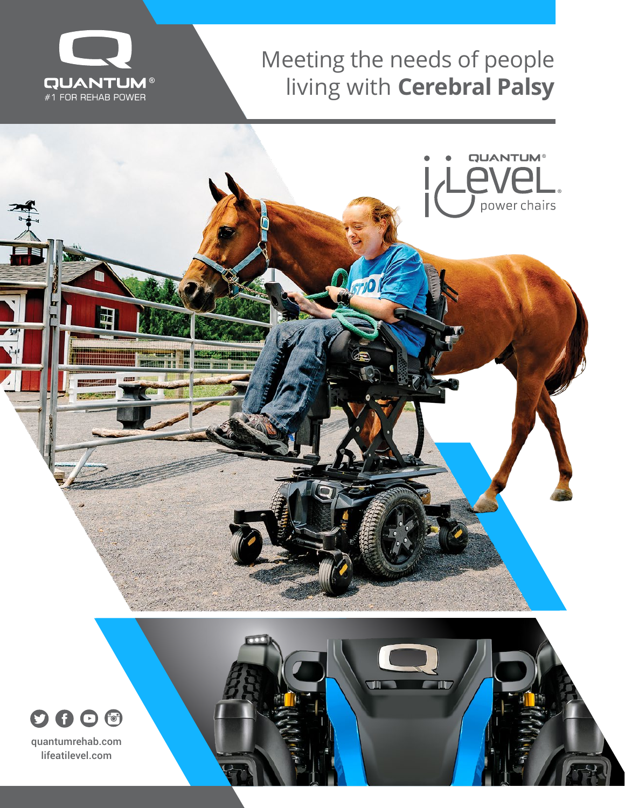

### Meeting the needs of people living with **Cerebral Palsy**



**TILL** 

 $\mathbb{H}$ 



lifeatilevel.com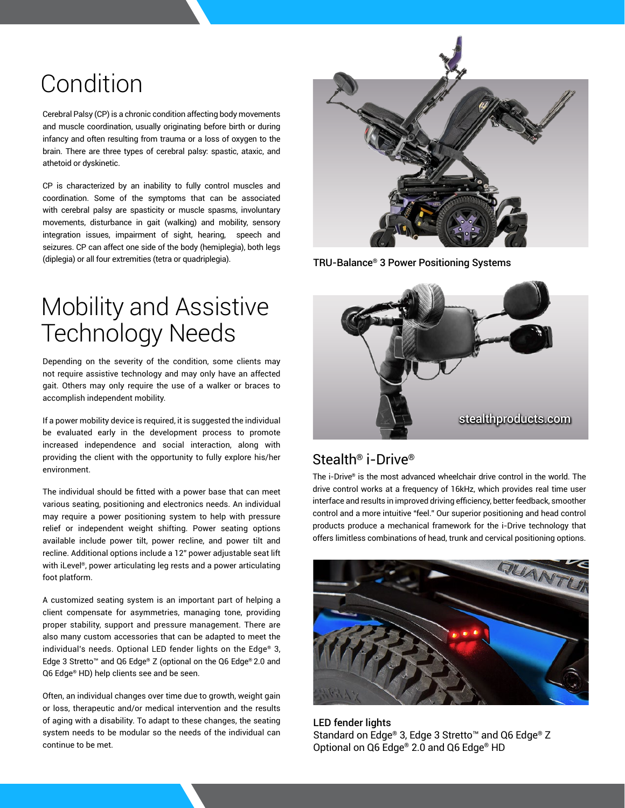# Condition

Cerebral Palsy (CP) is a chronic condition affecting body movements and muscle coordination, usually originating before birth or during infancy and often resulting from trauma or a loss of oxygen to the brain. There are three types of cerebral palsy: spastic, ataxic, and athetoid or dyskinetic.

CP is characterized by an inability to fully control muscles and coordination. Some of the symptoms that can be associated with cerebral palsy are spasticity or muscle spasms, involuntary movements, disturbance in gait (walking) and mobility, sensory integration issues, impairment of sight, hearing, speech and seizures. CP can affect one side of the body (hemiplegia), both legs (diplegia) or all four extremities (tetra or quadriplegia).

### Mobility and Assistive Technology Needs

Depending on the severity of the condition, some clients may not require assistive technology and may only have an affected gait. Others may only require the use of a walker or braces to accomplish independent mobility.

If a power mobility device is required, it is suggested the individual be evaluated early in the development process to promote increased independence and social interaction, along with providing the client with the opportunity to fully explore his/her environment.

The individual should be fitted with a power base that can meet various seating, positioning and electronics needs. An individual may require a power positioning system to help with pressure relief or independent weight shifting. Power seating options available include power tilt, power recline, and power tilt and recline. Additional options include a 12" power adjustable seat lift with iLevel®, power articulating leg rests and a power articulating foot platform.

A customized seating system is an important part of helping a client compensate for asymmetries, managing tone, providing proper stability, support and pressure management. There are also many custom accessories that can be adapted to meet the individual's needs. Optional LED fender lights on the Edge® 3, Edge 3 Stretto™ and Q6 Edge® Z (optional on the Q6 Edge® 2.0 and Q6 Edge® HD) help clients see and be seen.

Often, an individual changes over time due to growth, weight gain or loss, therapeutic and/or medical intervention and the results of aging with a disability. To adapt to these changes, the seating system needs to be modular so the needs of the individual can continue to be met.



TRU-Balance® 3 Power Positioning Systems



#### Stealth® i-Drive®

The i-Drive® is the most advanced wheelchair drive control in the world. The drive control works at a frequency of 16kHz, which provides real time user interface and results in improved driving efficiency, better feedback, smoother control and a more intuitive "feel." Our superior positioning and head control products produce a mechanical framework for the i-Drive technology that offers limitless combinations of head, trunk and cervical positioning options.



LED fender lights Standard on Edge® 3, Edge 3 Stretto™ and Q6 Edge® Z Optional on Q6 Edge® 2.0 and Q6 Edge® HD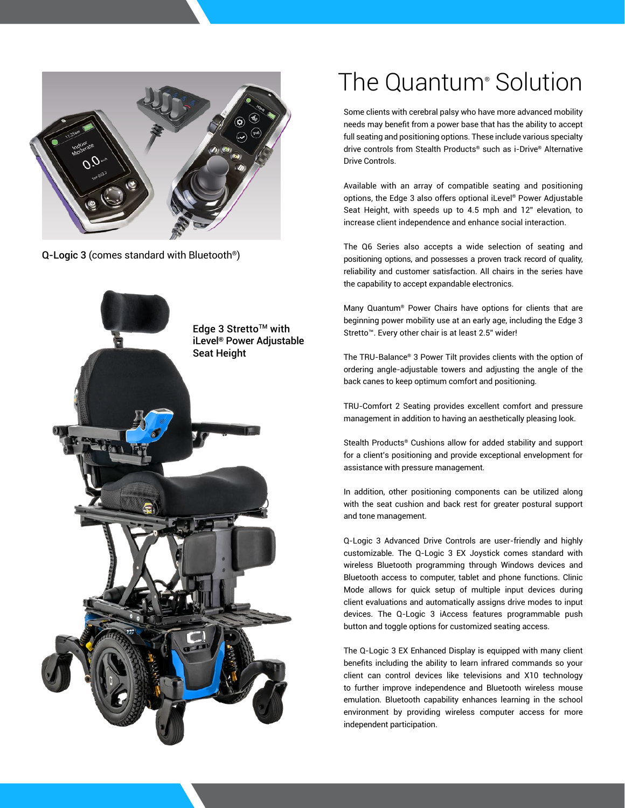

Q-Logic 3 (comes standard with Bluetooth®)



## The Quantum® Solution

Some clients with cerebral palsy who have more advanced mobility needs may benefit from a power base that has the ability to accept full seating and positioning options. These include various specialty drive controls from Stealth Products® such as i-Drive® Alternative Drive Controls.

Available with an array of compatible seating and positioning options, the Edge 3 also offers optional iLevel® Power Adjustable Seat Height, with speeds up to 4.5 mph and 12" elevation, to increase client independence and enhance social interaction.

The Q6 Series also accepts a wide selection of seating and positioning options, and possesses a proven track record of quality, reliability and customer satisfaction. All chairs in the series have the capability to accept expandable electronics.

Many Quantum® Power Chairs have options for clients that are beginning power mobility use at an early age, including the Edge 3 Stretto™. Every other chair is at least 2.5" wider!

The TRU-Balance® 3 Power Tilt provides clients with the option of ordering angle-adjustable towers and adjusting the angle of the back canes to keep optimum comfort and positioning.

TRU-Comfort 2 Seating provides excellent comfort and pressure management in addition to having an aesthetically pleasing look.

Stealth Products® Cushions allow for added stability and support for a client's positioning and provide exceptional envelopment for assistance with pressure management.

In addition, other positioning components can be utilized along with the seat cushion and back rest for greater postural support and tone management.

Q-Logic 3 Advanced Drive Controls are user-friendly and highly customizable. The Q-Logic 3 EX Joystick comes standard with wireless Bluetooth programming through Windows devices and Bluetooth access to computer, tablet and phone functions. Clinic Mode allows for quick setup of multiple input devices during client evaluations and automatically assigns drive modes to input devices. The Q-Logic 3 iAccess features programmable push button and toggle options for customized seating access.

The Q-Logic 3 EX Enhanced Display is equipped with many client benefits including the ability to learn infrared commands so your client can control devices like televisions and X10 technology to further improve independence and Bluetooth wireless mouse emulation. Bluetooth capability enhances learning in the school environment by providing wireless computer access for more independent participation.